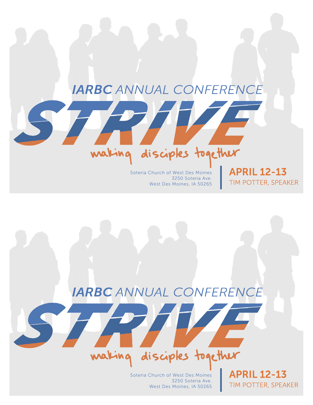### **IARBC** ANNUAL CONFERENCE

#### Soteria Church of West Des Moines 3250 Soteria Ave. West Des Moines, IA 50265

making disciples together

**APRIL 12-13** TIM POTTER, SPEAKER

## **IARBC** ANNUAL CONFERENCE

## making disciples together

Soteria Church of West Des Moines 3250 Soteria Ave. West Des Moines, IA 50265

**APRIL 12-13** TIM POTTER, SPEAKER